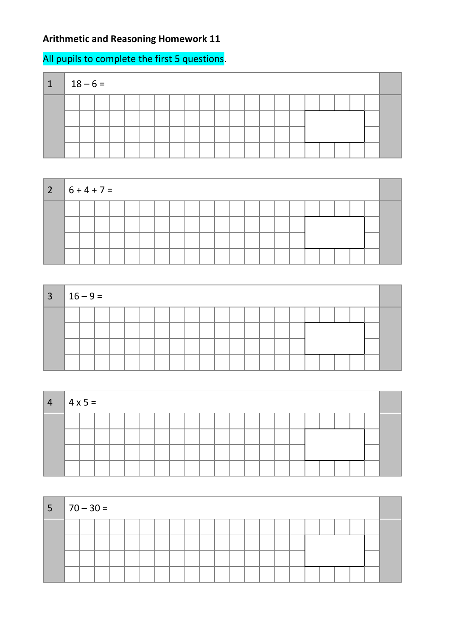## **Arithmetic and Reasoning Homework 11**

## All pupils to complete the first 5 questions.

| $1 \t 18-6=$ |  |  |  |  |  |  |  |  |  |  |  |
|--------------|--|--|--|--|--|--|--|--|--|--|--|
|              |  |  |  |  |  |  |  |  |  |  |  |
|              |  |  |  |  |  |  |  |  |  |  |  |
|              |  |  |  |  |  |  |  |  |  |  |  |
|              |  |  |  |  |  |  |  |  |  |  |  |



| $3   16 - 9 =$ |  |  |  |  |  |  |  |  |  |  |  |
|----------------|--|--|--|--|--|--|--|--|--|--|--|
|                |  |  |  |  |  |  |  |  |  |  |  |
|                |  |  |  |  |  |  |  |  |  |  |  |

| $\overline{4}$ | $ 4x5=$ |  |  |  |  |  |  |  |  |  |  |
|----------------|---------|--|--|--|--|--|--|--|--|--|--|
|                |         |  |  |  |  |  |  |  |  |  |  |
|                |         |  |  |  |  |  |  |  |  |  |  |
|                |         |  |  |  |  |  |  |  |  |  |  |
|                |         |  |  |  |  |  |  |  |  |  |  |

| $ 5 70-30=$ |  |  |  |  |  |  |  |  |  |  |  |
|-------------|--|--|--|--|--|--|--|--|--|--|--|
|             |  |  |  |  |  |  |  |  |  |  |  |
|             |  |  |  |  |  |  |  |  |  |  |  |
|             |  |  |  |  |  |  |  |  |  |  |  |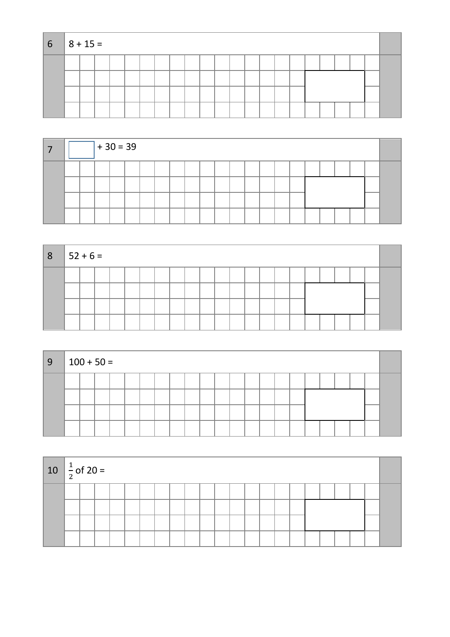| $6 \t 8 + 15 =$ |  |  |  |  |  |  |  |  |  |  |  |
|-----------------|--|--|--|--|--|--|--|--|--|--|--|
|                 |  |  |  |  |  |  |  |  |  |  |  |
|                 |  |  |  |  |  |  |  |  |  |  |  |
|                 |  |  |  |  |  |  |  |  |  |  |  |
|                 |  |  |  |  |  |  |  |  |  |  |  |

|  |  |  | $+30 = 39$ |  |  |  |  |  |  |  |  |  |  |  |  |  |  |  |
|--|--|--|------------|--|--|--|--|--|--|--|--|--|--|--|--|--|--|--|
|  |  |  |            |  |  |  |  |  |  |  |  |  |  |  |  |  |  |  |
|  |  |  |            |  |  |  |  |  |  |  |  |  |  |  |  |  |  |  |
|  |  |  |            |  |  |  |  |  |  |  |  |  |  |  |  |  |  |  |
|  |  |  |            |  |  |  |  |  |  |  |  |  |  |  |  |  |  |  |

| $ 8\rangle$ | $ 52 + 6 =$ |  |  |  |  |  |  |  |  |  |  |  |
|-------------|-------------|--|--|--|--|--|--|--|--|--|--|--|
|             |             |  |  |  |  |  |  |  |  |  |  |  |
|             |             |  |  |  |  |  |  |  |  |  |  |  |
|             |             |  |  |  |  |  |  |  |  |  |  |  |
|             |             |  |  |  |  |  |  |  |  |  |  |  |

| 9 | $100 + 50 =$ |  |  |  |  |  |  |  |  |  |  |
|---|--------------|--|--|--|--|--|--|--|--|--|--|
|   |              |  |  |  |  |  |  |  |  |  |  |
|   |              |  |  |  |  |  |  |  |  |  |  |

| 10 $\frac{1}{2}$ of 20 = |  |  |  |  |  |  |  |  |  |  |  |
|--------------------------|--|--|--|--|--|--|--|--|--|--|--|
|                          |  |  |  |  |  |  |  |  |  |  |  |
|                          |  |  |  |  |  |  |  |  |  |  |  |
|                          |  |  |  |  |  |  |  |  |  |  |  |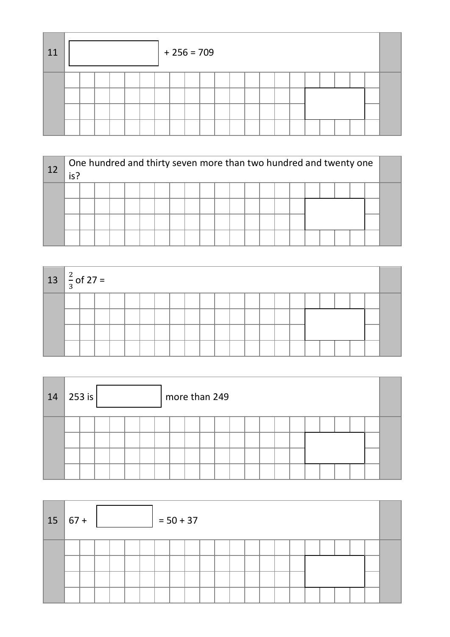| 11 |  |  |  | $+256=709$ |  |  |  |  |  |  |  |
|----|--|--|--|------------|--|--|--|--|--|--|--|
|    |  |  |  |            |  |  |  |  |  |  |  |

| 12 | is? |  |  |  | One hundred and thirty seven more than two hundred and twenty one |  |  |  |  |  |  |  |
|----|-----|--|--|--|-------------------------------------------------------------------|--|--|--|--|--|--|--|
|    |     |  |  |  |                                                                   |  |  |  |  |  |  |  |
|    |     |  |  |  |                                                                   |  |  |  |  |  |  |  |

| $13 \left  \frac{2}{3} \right.$ of 27 = |  |  |  |  |  |  |  |  |  |  |  |
|-----------------------------------------|--|--|--|--|--|--|--|--|--|--|--|
|                                         |  |  |  |  |  |  |  |  |  |  |  |
|                                         |  |  |  |  |  |  |  |  |  |  |  |
|                                         |  |  |  |  |  |  |  |  |  |  |  |
|                                         |  |  |  |  |  |  |  |  |  |  |  |

| 14 | 253 is $ $ |  |  |  |  |  | more than 249 |  |  |  |  |  |  |  |  |  |  |  |  |  |
|----|------------|--|--|--|--|--|---------------|--|--|--|--|--|--|--|--|--|--|--|--|--|
|    |            |  |  |  |  |  |               |  |  |  |  |  |  |  |  |  |  |  |  |  |

| 15 | $\parallel$ 67 + |  |  | $= 50 + 37$ |  |  |  |  |  |  |  |  |  |  |  |  |  |
|----|------------------|--|--|-------------|--|--|--|--|--|--|--|--|--|--|--|--|--|
|    |                  |  |  |             |  |  |  |  |  |  |  |  |  |  |  |  |  |
|    |                  |  |  |             |  |  |  |  |  |  |  |  |  |  |  |  |  |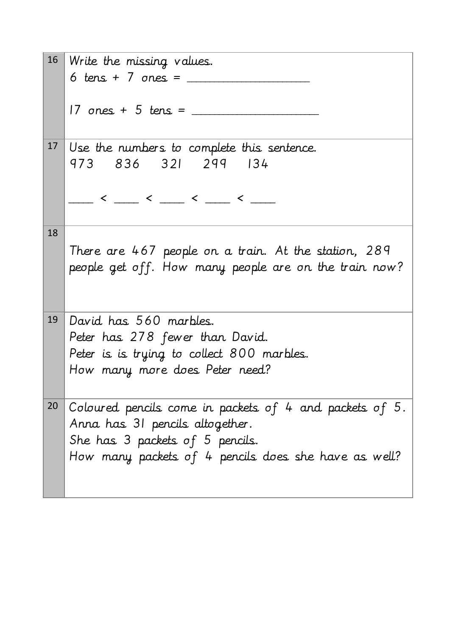|    | 16 Write the missing values.                            |
|----|---------------------------------------------------------|
|    | 6 tens + 7 ones = $\frac{1}{2}$                         |
|    |                                                         |
|    | $17$ ones + 5 tens = $\frac{1}{2}$                      |
|    |                                                         |
| 17 | Use the numbers to complete this sentence.              |
|    | 973 836 321 299 134                                     |
|    |                                                         |
|    |                                                         |
|    |                                                         |
| 18 |                                                         |
|    | There are 467 people on a train. At the station, 289    |
|    | people get off. How many people are on the train now?   |
|    |                                                         |
|    |                                                         |
| 19 | David has 560 marbles.                                  |
|    | Peter has 278 fewer than David.                         |
|    | Peter is is trying to collect 800 marbles.              |
|    | How many more does Peter need?                          |
|    |                                                         |
| 20 | Coloured pencils come in packets of 4 and packets of 5. |
|    | Anna has 31 pencils altogether.                         |
|    | She has 3 packets of 5 pencils.                         |
|    | How many packets of 4 pencils does she have as well?    |
|    |                                                         |
|    |                                                         |